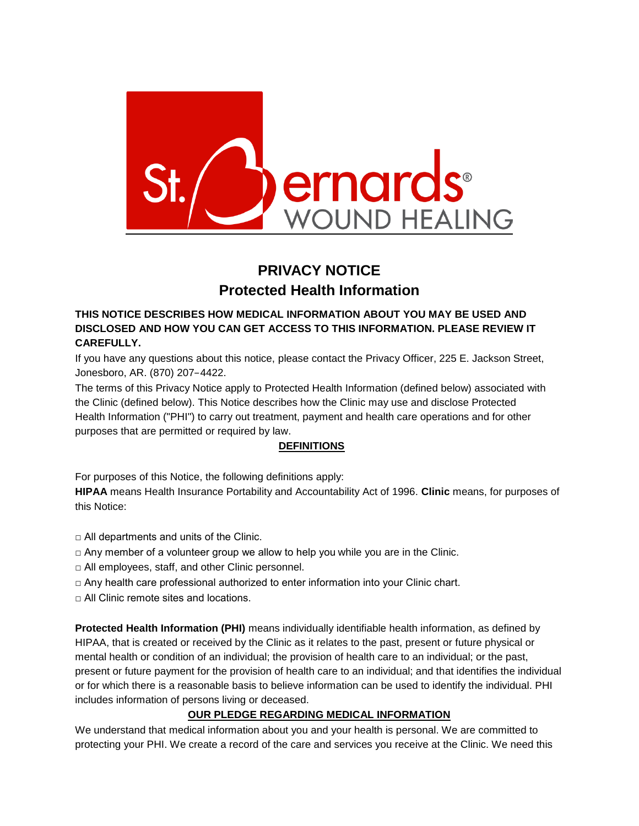

# **PRIVACY NOTICE Protected Health Information**

# **THIS NOTICE DESCRIBES HOW MEDICAL INFORMATION ABOUT YOU MAY BE USED AND DISCLOSED AND HOW YOU CAN GET ACCESS TO THIS INFORMATION. PLEASE REVIEW IT CAREFULLY.**

If you have any questions about this notice, please contact the Privacy Officer, 225 E. Jackson Street, Jonesboro, AR. (870) 207−4422.

The terms of this Privacy Notice apply to Protected Health Information (defined below) associated with the Clinic (defined below). This Notice describes how the Clinic may use and disclose Protected Health Information ("PHI") to carry out treatment, payment and health care operations and for other purposes that are permitted or required by law.

# **DEFINITIONS**

For purposes of this Notice, the following definitions apply:

**HIPAA** means Health Insurance Portability and Accountability Act of 1996. **Clinic** means, for purposes of this Notice:

- $\Box$  All departments and units of the Clinic.
- $\Box$  Any member of a volunteer group we allow to help you while you are in the Clinic.
- □ All employees, staff, and other Clinic personnel.
- $\Box$  Any health care professional authorized to enter information into your Clinic chart.
- □ All Clinic remote sites and locations.

**Protected Health Information (PHI)** means individually identifiable health information, as defined by HIPAA, that is created or received by the Clinic as it relates to the past, present or future physical or mental health or condition of an individual; the provision of health care to an individual; or the past, present or future payment for the provision of health care to an individual; and that identifies the individual or for which there is a reasonable basis to believe information can be used to identify the individual. PHI includes information of persons living or deceased.

# **OUR PLEDGE REGARDING MEDICAL INFORMATION**

We understand that medical information about you and your health is personal. We are committed to protecting your PHI. We create a record of the care and services you receive at the Clinic. We need this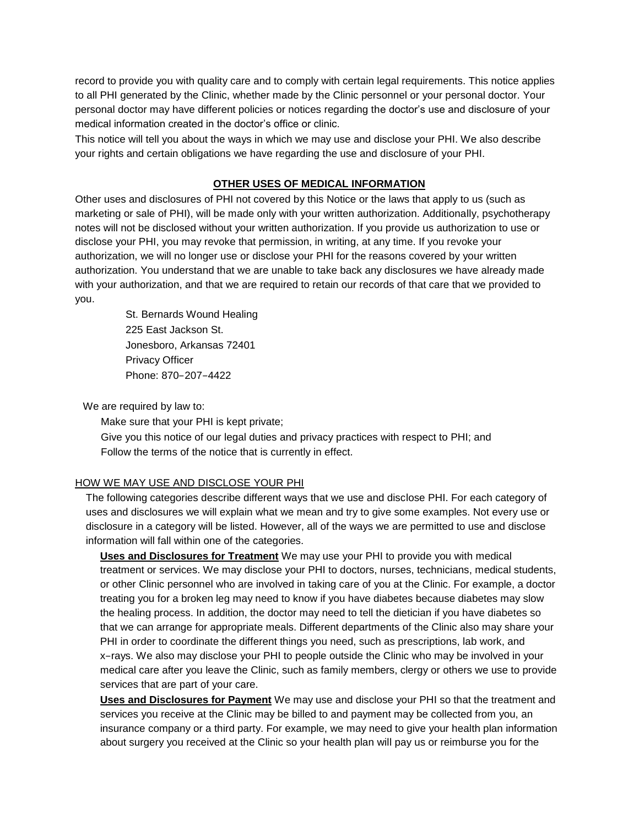record to provide you with quality care and to comply with certain legal requirements. This notice applies to all PHI generated by the Clinic, whether made by the Clinic personnel or your personal doctor. Your personal doctor may have different policies or notices regarding the doctor's use and disclosure of your medical information created in the doctor's office or clinic.

This notice will tell you about the ways in which we may use and disclose your PHI. We also describe your rights and certain obligations we have regarding the use and disclosure of your PHI.

#### **OTHER USES OF MEDICAL INFORMATION**

Other uses and disclosures of PHI not covered by this Notice or the laws that apply to us (such as marketing or sale of PHI), will be made only with your written authorization. Additionally, psychotherapy notes will not be disclosed without your written authorization. If you provide us authorization to use or disclose your PHI, you may revoke that permission, in writing, at any time. If you revoke your authorization, we will no longer use or disclose your PHI for the reasons covered by your written authorization. You understand that we are unable to take back any disclosures we have already made with your authorization, and that we are required to retain our records of that care that we provided to you.

> St. Bernards Wound Healing 225 East Jackson St. Jonesboro, Arkansas 72401 Privacy Officer Phone: 870−207−4422

We are required by law to:

Make sure that your PHI is kept private; Give you this notice of our legal duties and privacy practices with respect to PHI; and Follow the terms of the notice that is currently in effect.

#### HOW WE MAY USE AND DISCLOSE YOUR PHI

The following categories describe different ways that we use and disclose PHI. For each category of uses and disclosures we will explain what we mean and try to give some examples. Not every use or disclosure in a category will be listed. However, all of the ways we are permitted to use and disclose information will fall within one of the categories.

**Uses and Disclosures for Treatment** We may use your PHI to provide you with medical treatment or services. We may disclose your PHI to doctors, nurses, technicians, medical students, or other Clinic personnel who are involved in taking care of you at the Clinic. For example, a doctor treating you for a broken leg may need to know if you have diabetes because diabetes may slow the healing process. In addition, the doctor may need to tell the dietician if you have diabetes so that we can arrange for appropriate meals. Different departments of the Clinic also may share your PHI in order to coordinate the different things you need, such as prescriptions, lab work, and x−rays. We also may disclose your PHI to people outside the Clinic who may be involved in your medical care after you leave the Clinic, such as family members, clergy or others we use to provide services that are part of your care.

**Uses and Disclosures for Payment** We may use and disclose your PHI so that the treatment and services you receive at the Clinic may be billed to and payment may be collected from you, an insurance company or a third party. For example, we may need to give your health plan information about surgery you received at the Clinic so your health plan will pay us or reimburse you for the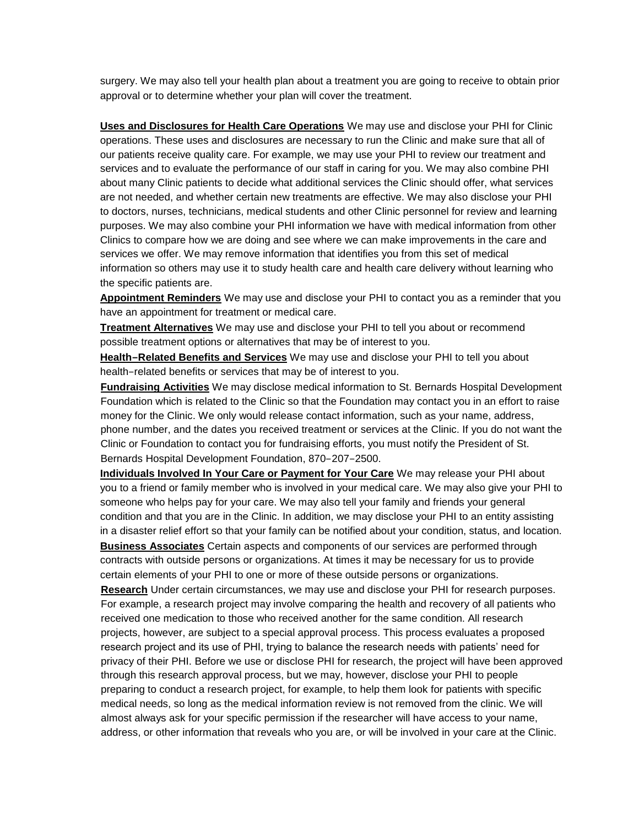surgery. We may also tell your health plan about a treatment you are going to receive to obtain prior approval or to determine whether your plan will cover the treatment.

**Uses and Disclosures for Health Care Operations** We may use and disclose your PHI for Clinic operations. These uses and disclosures are necessary to run the Clinic and make sure that all of our patients receive quality care. For example, we may use your PHI to review our treatment and services and to evaluate the performance of our staff in caring for you. We may also combine PHI about many Clinic patients to decide what additional services the Clinic should offer, what services are not needed, and whether certain new treatments are effective. We may also disclose your PHI to doctors, nurses, technicians, medical students and other Clinic personnel for review and learning purposes. We may also combine your PHI information we have with medical information from other Clinics to compare how we are doing and see where we can make improvements in the care and services we offer. We may remove information that identifies you from this set of medical information so others may use it to study health care and health care delivery without learning who the specific patients are.

**Appointment Reminders** We may use and disclose your PHI to contact you as a reminder that you have an appointment for treatment or medical care.

**Treatment Alternatives** We may use and disclose your PHI to tell you about or recommend possible treatment options or alternatives that may be of interest to you.

**Health−Related Benefits and Services** We may use and disclose your PHI to tell you about health−related benefits or services that may be of interest to you.

**Fundraising Activities** We may disclose medical information to St. Bernards Hospital Development Foundation which is related to the Clinic so that the Foundation may contact you in an effort to raise money for the Clinic. We only would release contact information, such as your name, address, phone number, and the dates you received treatment or services at the Clinic. If you do not want the Clinic or Foundation to contact you for fundraising efforts, you must notify the President of St. Bernards Hospital Development Foundation, 870−207−2500.

**Individuals Involved In Your Care or Payment for Your Care** We may release your PHI about you to a friend or family member who is involved in your medical care. We may also give your PHI to someone who helps pay for your care. We may also tell your family and friends your general condition and that you are in the Clinic. In addition, we may disclose your PHI to an entity assisting in a disaster relief effort so that your family can be notified about your condition, status, and location.

**Business Associates** Certain aspects and components of our services are performed through contracts with outside persons or organizations. At times it may be necessary for us to provide certain elements of your PHI to one or more of these outside persons or organizations.

**Research** Under certain circumstances, we may use and disclose your PHI for research purposes. For example, a research project may involve comparing the health and recovery of all patients who received one medication to those who received another for the same condition. All research projects, however, are subject to a special approval process. This process evaluates a proposed research project and its use of PHI, trying to balance the research needs with patients' need for privacy of their PHI. Before we use or disclose PHI for research, the project will have been approved through this research approval process, but we may, however, disclose your PHI to people preparing to conduct a research project, for example, to help them look for patients with specific medical needs, so long as the medical information review is not removed from the clinic. We will almost always ask for your specific permission if the researcher will have access to your name, address, or other information that reveals who you are, or will be involved in your care at the Clinic.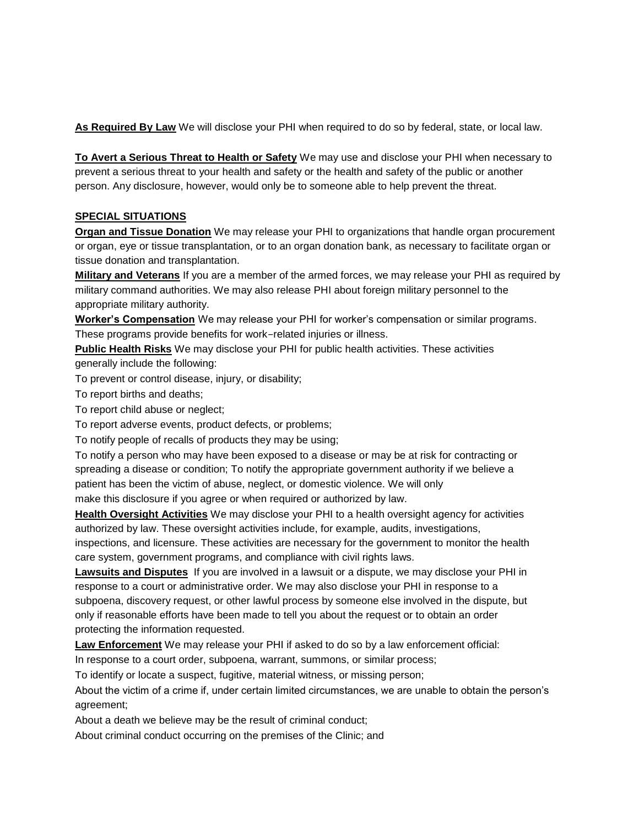**As Required By Law** We will disclose your PHI when required to do so by federal, state, or local law.

**To Avert a Serious Threat to Health or Safety** We may use and disclose your PHI when necessary to prevent a serious threat to your health and safety or the health and safety of the public or another person. Any disclosure, however, would only be to someone able to help prevent the threat.

### **SPECIAL SITUATIONS**

**Organ and Tissue Donation** We may release your PHI to organizations that handle organ procurement or organ, eye or tissue transplantation, or to an organ donation bank, as necessary to facilitate organ or tissue donation and transplantation.

**Military and Veterans** If you are a member of the armed forces, we may release your PHI as required by military command authorities. We may also release PHI about foreign military personnel to the appropriate military authority.

**Worker's Compensation** We may release your PHI for worker's compensation or similar programs. These programs provide benefits for work−related injuries or illness.

**Public Health Risks** We may disclose your PHI for public health activities. These activities generally include the following:

To prevent or control disease, injury, or disability;

To report births and deaths;

To report child abuse or neglect;

To report adverse events, product defects, or problems;

To notify people of recalls of products they may be using;

To notify a person who may have been exposed to a disease or may be at risk for contracting or spreading a disease or condition; To notify the appropriate government authority if we believe a patient has been the victim of abuse, neglect, or domestic violence. We will only

make this disclosure if you agree or when required or authorized by law.

**Health Oversight Activities** We may disclose your PHI to a health oversight agency for activities authorized by law. These oversight activities include, for example, audits, investigations, inspections, and licensure. These activities are necessary for the government to monitor the health

care system, government programs, and compliance with civil rights laws.

**Lawsuits and Disputes** If you are involved in a lawsuit or a dispute, we may disclose your PHI in response to a court or administrative order. We may also disclose your PHI in response to a subpoena, discovery request, or other lawful process by someone else involved in the dispute, but only if reasonable efforts have been made to tell you about the request or to obtain an order protecting the information requested.

**Law Enforcement** We may release your PHI if asked to do so by a law enforcement official:

In response to a court order, subpoena, warrant, summons, or similar process;

To identify or locate a suspect, fugitive, material witness, or missing person;

About the victim of a crime if, under certain limited circumstances, we are unable to obtain the person's agreement;

About a death we believe may be the result of criminal conduct;

About criminal conduct occurring on the premises of the Clinic; and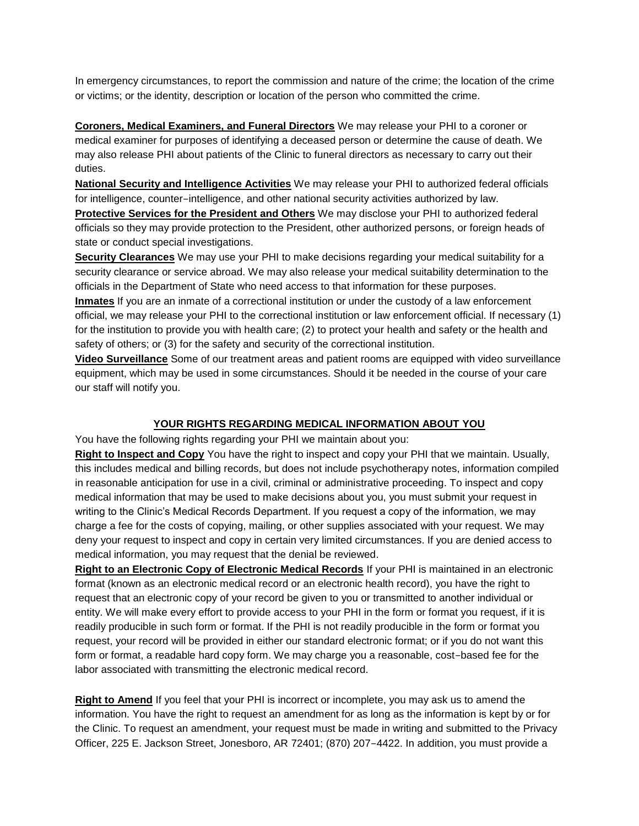In emergency circumstances, to report the commission and nature of the crime; the location of the crime or victims; or the identity, description or location of the person who committed the crime.

**Coroners, Medical Examiners, and Funeral Directors** We may release your PHI to a coroner or medical examiner for purposes of identifying a deceased person or determine the cause of death. We may also release PHI about patients of the Clinic to funeral directors as necessary to carry out their duties.

**National Security and Intelligence Activities** We may release your PHI to authorized federal officials for intelligence, counter−intelligence, and other national security activities authorized by law.

**Protective Services for the President and Others** We may disclose your PHI to authorized federal officials so they may provide protection to the President, other authorized persons, or foreign heads of state or conduct special investigations.

**Security Clearances** We may use your PHI to make decisions regarding your medical suitability for a security clearance or service abroad. We may also release your medical suitability determination to the officials in the Department of State who need access to that information for these purposes.

**Inmates** If you are an inmate of a correctional institution or under the custody of a law enforcement official, we may release your PHI to the correctional institution or law enforcement official. If necessary (1) for the institution to provide you with health care; (2) to protect your health and safety or the health and safety of others; or (3) for the safety and security of the correctional institution.

**Video Surveillance** Some of our treatment areas and patient rooms are equipped with video surveillance equipment, which may be used in some circumstances. Should it be needed in the course of your care our staff will notify you.

### **YOUR RIGHTS REGARDING MEDICAL INFORMATION ABOUT YOU**

You have the following rights regarding your PHI we maintain about you:

**Right to Inspect and Copy** You have the right to inspect and copy your PHI that we maintain. Usually, this includes medical and billing records, but does not include psychotherapy notes, information compiled in reasonable anticipation for use in a civil, criminal or administrative proceeding. To inspect and copy medical information that may be used to make decisions about you, you must submit your request in writing to the Clinic's Medical Records Department. If you request a copy of the information, we may charge a fee for the costs of copying, mailing, or other supplies associated with your request. We may deny your request to inspect and copy in certain very limited circumstances. If you are denied access to medical information, you may request that the denial be reviewed.

**Right to an Electronic Copy of Electronic Medical Records** If your PHI is maintained in an electronic format (known as an electronic medical record or an electronic health record), you have the right to request that an electronic copy of your record be given to you or transmitted to another individual or entity. We will make every effort to provide access to your PHI in the form or format you request, if it is readily producible in such form or format. If the PHI is not readily producible in the form or format you request, your record will be provided in either our standard electronic format; or if you do not want this form or format, a readable hard copy form. We may charge you a reasonable, cost−based fee for the labor associated with transmitting the electronic medical record.

**Right to Amend** If you feel that your PHI is incorrect or incomplete, you may ask us to amend the information. You have the right to request an amendment for as long as the information is kept by or for the Clinic. To request an amendment, your request must be made in writing and submitted to the Privacy Officer, 225 E. Jackson Street, Jonesboro, AR 72401; (870) 207−4422. In addition, you must provide a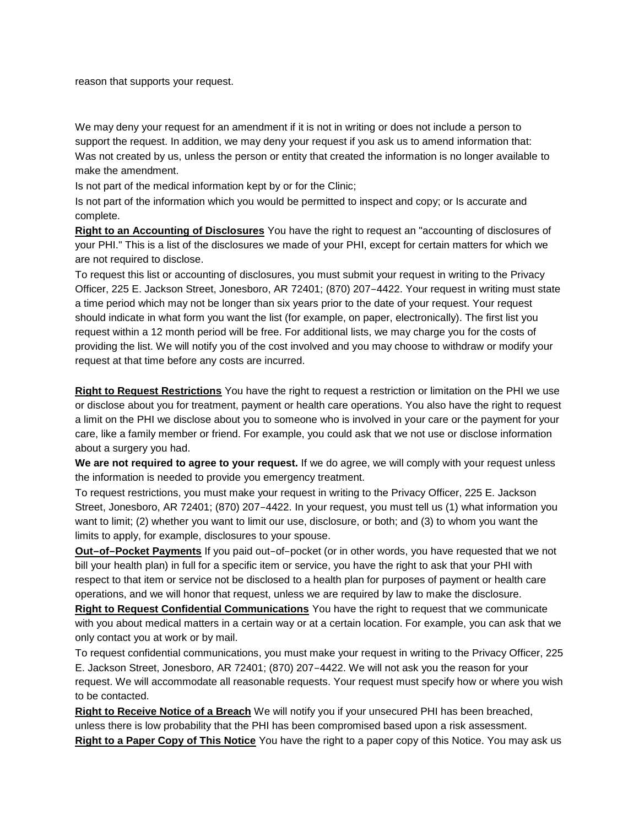reason that supports your request.

We may deny your request for an amendment if it is not in writing or does not include a person to support the request. In addition, we may deny your request if you ask us to amend information that: Was not created by us, unless the person or entity that created the information is no longer available to make the amendment.

Is not part of the medical information kept by or for the Clinic;

Is not part of the information which you would be permitted to inspect and copy; or Is accurate and complete.

**Right to an Accounting of Disclosures** You have the right to request an "accounting of disclosures of your PHI." This is a list of the disclosures we made of your PHI, except for certain matters for which we are not required to disclose.

To request this list or accounting of disclosures, you must submit your request in writing to the Privacy Officer, 225 E. Jackson Street, Jonesboro, AR 72401; (870) 207−4422. Your request in writing must state a time period which may not be longer than six years prior to the date of your request. Your request should indicate in what form you want the list (for example, on paper, electronically). The first list you request within a 12 month period will be free. For additional lists, we may charge you for the costs of providing the list. We will notify you of the cost involved and you may choose to withdraw or modify your request at that time before any costs are incurred.

**Right to Request Restrictions** You have the right to request a restriction or limitation on the PHI we use or disclose about you for treatment, payment or health care operations. You also have the right to request a limit on the PHI we disclose about you to someone who is involved in your care or the payment for your care, like a family member or friend. For example, you could ask that we not use or disclose information about a surgery you had.

**We are not required to agree to your request.** If we do agree, we will comply with your request unless the information is needed to provide you emergency treatment.

To request restrictions, you must make your request in writing to the Privacy Officer, 225 E. Jackson Street, Jonesboro, AR 72401; (870) 207−4422. In your request, you must tell us (1) what information you want to limit; (2) whether you want to limit our use, disclosure, or both; and (3) to whom you want the limits to apply, for example, disclosures to your spouse.

**Out−of−Pocket Payments** If you paid out−of−pocket (or in other words, you have requested that we not bill your health plan) in full for a specific item or service, you have the right to ask that your PHI with respect to that item or service not be disclosed to a health plan for purposes of payment or health care operations, and we will honor that request, unless we are required by law to make the disclosure.

**Right to Request Confidential Communications** You have the right to request that we communicate with you about medical matters in a certain way or at a certain location. For example, you can ask that we only contact you at work or by mail.

To request confidential communications, you must make your request in writing to the Privacy Officer, 225 E. Jackson Street, Jonesboro, AR 72401; (870) 207−4422. We will not ask you the reason for your request. We will accommodate all reasonable requests. Your request must specify how or where you wish to be contacted.

**Right to Receive Notice of a Breach** We will notify you if your unsecured PHI has been breached, unless there is low probability that the PHI has been compromised based upon a risk assessment.

**Right to a Paper Copy of This Notice** You have the right to a paper copy of this Notice. You may ask us